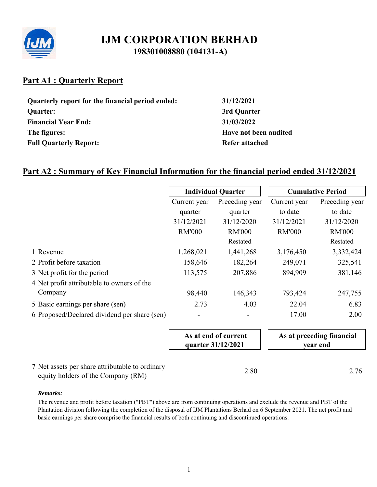

# **Part A1 : Quarterly Report**

| Quarterly report for the financial period ended: |
|--------------------------------------------------|
| <b>Quarter:</b>                                  |
| <b>Financial Year End:</b>                       |
| The figures:                                     |
| <b>Full Quarterly Report:</b>                    |

**Quarterly report for the financial period ended: 31/12/2021 Quarter: 3rd Quarter Financial Year End: 31/03/2022 The figures: Have not been audited Refer attached** 

# **Part A2 : Summary of Key Financial Information for the financial period ended 31/12/2021**

|                                                 | <b>Individual Quarter</b>                  |                |               | <b>Cumulative Period</b>              |
|-------------------------------------------------|--------------------------------------------|----------------|---------------|---------------------------------------|
|                                                 | Current year                               | Preceding year | Current year  | Preceding year                        |
|                                                 | quarter                                    | quarter        | to date       | to date                               |
|                                                 | 31/12/2021                                 | 31/12/2020     | 31/12/2021    | 31/12/2020                            |
|                                                 | <b>RM'000</b>                              | <b>RM'000</b>  | <b>RM'000</b> | <b>RM'000</b>                         |
|                                                 |                                            | Restated       |               | Restated                              |
| 1 Revenue                                       | 1,268,021                                  | 1,441,268      | 3,176,450     | 3,332,424                             |
| 2 Profit before taxation                        | 158,646                                    | 182,264        | 249,071       | 325,541                               |
| 3 Net profit for the period                     | 113,575                                    | 207,886        | 894,909       | 381,146                               |
| 4 Net profit attributable to owners of the      |                                            |                |               |                                       |
| Company                                         | 98,440                                     | 146,343        | 793,424       | 247,755                               |
| 5 Basic earnings per share (sen)                | 2.73                                       | 4.03           | 22.04         | 6.83                                  |
| 6 Proposed/Declared dividend per share (sen)    |                                            |                | 17.00         | 2.00                                  |
|                                                 | As at end of current<br>quarter 31/12/2021 |                |               | As at preceding financial<br>year end |
| 7 Net assets per share attributable to ordinary |                                            | 2.80           |               | 2.76                                  |

equity holders of the Company  $(RM)$  2.80 2.76

### *Remarks:*

The revenue and profit before taxation ("PBT") above are from continuing operations and exclude the revenue and PBT of the Plantation division following the completion of the disposal of IJM Plantations Berhad on 6 September 2021. The net profit and basic earnings per share comprise the financial results of both continuing and discontinued operations.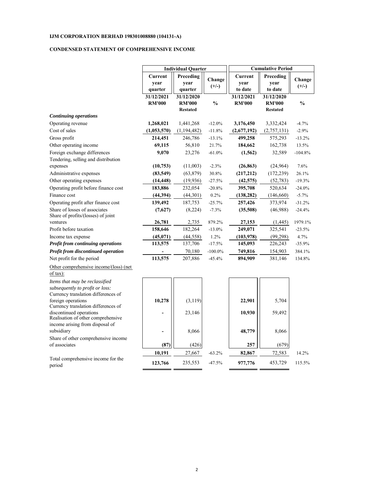#### **CONDENSED STATEMENT OF COMPREHENSIVE INCOME**

|                                                                                                          | <b>Individual Quarter</b> |                 |               |               | <b>Cumulative Period</b> |               |  |  |
|----------------------------------------------------------------------------------------------------------|---------------------------|-----------------|---------------|---------------|--------------------------|---------------|--|--|
|                                                                                                          | Current                   | Preceding       | Change        | Current       | Preceding                | Change        |  |  |
|                                                                                                          | year                      | year            | $(+/-)$       | year          | year                     | $(+/-)$       |  |  |
|                                                                                                          | quarter                   | quarter         |               | to date       | to date                  |               |  |  |
|                                                                                                          | 31/12/2021                | 31/12/2020      |               | 31/12/2021    | 31/12/2020               |               |  |  |
|                                                                                                          | <b>RM'000</b>             | <b>RM'000</b>   | $\frac{0}{0}$ | <b>RM'000</b> | <b>RM'000</b>            | $\frac{0}{0}$ |  |  |
|                                                                                                          |                           | <b>Restated</b> |               |               | <b>Restated</b>          |               |  |  |
| <b>Continuing operations</b>                                                                             |                           |                 |               |               |                          |               |  |  |
| Operating revenue                                                                                        | 1,268,021                 | 1,441,268       | $-12.0%$      | 3,176,450     | 3,332,424                | $-4.7%$       |  |  |
| Cost of sales                                                                                            | (1,053,570)               | (1,194,482)     | $-11.8%$      | (2,677,192)   | (2,757,131)              | $-2.9%$       |  |  |
| Gross profit                                                                                             | 214,451                   | 246,786         | $-13.1%$      | 499,258       | 575,293                  | $-13.2%$      |  |  |
| Other operating income                                                                                   | 69,115                    | 56,810          | 21.7%         | 184,662       | 162,738                  | 13.5%         |  |  |
| Foreign exchange differences                                                                             | 9,070                     | 23,276          | $-61.0%$      | (1, 562)      | 32,589                   | $-104.8%$     |  |  |
| Tendering, selling and distribution                                                                      |                           |                 |               |               |                          |               |  |  |
| expenses                                                                                                 | (10,753)                  | (11,003)        | $-2.3%$       | (26, 863)     | (24, 964)                | 7.6%          |  |  |
| Administrative expenses                                                                                  | (83, 549)                 | (63, 879)       | 30.8%         | (217,212)     | (172, 239)               | 26.1%         |  |  |
| Other operating expenses                                                                                 | (14, 448)                 | (19,936)        | $-27.5%$      | (42, 575)     | (52, 783)                | $-19.3%$      |  |  |
| Operating profit before finance cost                                                                     | 183,886                   | 232,054         | $-20.8%$      | 395,708       | 520,634                  | $-24.0%$      |  |  |
| Finance cost                                                                                             | (44,394)                  | (44,301)        | 0.2%          | (138, 282)    | (146, 660)               | $-5.7%$       |  |  |
| Operating profit after finance cost                                                                      | 139,492                   | 187,753         | $-25.7%$      | 257,426       | 373,974                  | $-31.2%$      |  |  |
| Share of losses of associates<br>Share of profits/(losses) of joint                                      | (7,627)                   | (8,224)         | $-7.3%$       | (35,508)      | (46,988)                 | $-24.4%$      |  |  |
| ventures                                                                                                 | 26,781                    | 2,735           | 879.2%        | 27,153        | (1, 445)                 | 1979.1%       |  |  |
| Profit before taxation                                                                                   | 158,646                   | 182,264         | $-13.0%$      | 249,071       | 325,541                  | $-23.5%$      |  |  |
| Income tax expense                                                                                       | (45,071)                  | (44, 558)       | 1.2%          | (103, 978)    | (99,298)                 | 4.7%          |  |  |
| Profit from continuing operations                                                                        | 113,575                   | 137,706         | $-17.5%$      | 145,093       | 226,243                  | $-35.9%$      |  |  |
| Profit from discontinued operation                                                                       |                           | 70,180          | $-100.0\%$    | 749,816       | 154,903                  | 384.1%        |  |  |
| Net profit for the period                                                                                | 113,575                   | 207,886         | $-45.4%$      | 894,909       | 381,146                  | 134.8%        |  |  |
| Other comprehensive income/(loss) (net<br>of tax):                                                       |                           |                 |               |               |                          |               |  |  |
| Items that may be reclassified<br>subsequently to profit or loss:<br>Currency translation differences of |                           |                 |               |               |                          |               |  |  |
| foreign operations<br>Currency translation differences of                                                | 10,278                    | (3, 119)        |               | 22,901        | 5,704                    |               |  |  |
| discontinued operations<br>Realisation of other comprehensive                                            | ۰                         | 23,146          |               | 10,930        | 59,492                   |               |  |  |
| income arising from disposal of<br>subsidiary                                                            | $\overline{a}$            | 8,066           |               | 48,779        | 8,066                    |               |  |  |
| Share of other comprehensive income<br>of associates                                                     | (87)                      | (426)           |               | 257           | (679)                    |               |  |  |
|                                                                                                          | 10,191                    | 27,667          | $-63.2%$      | 82,867        | 72,583                   | 14.2%         |  |  |
| Total comprehensive income for the<br>period                                                             | 123,766                   | 235,553         | $-47.5%$      | 977,776       | 453,729                  | 115.5%        |  |  |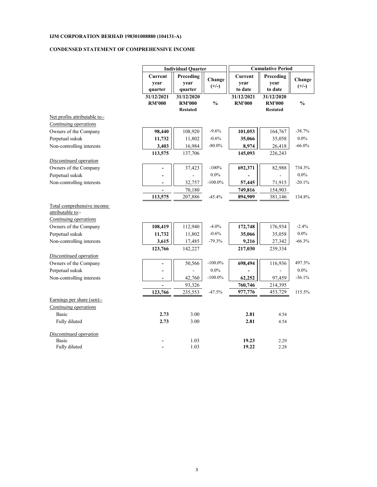#### **CONDENSED STATEMENT OF COMPREHENSIVE INCOME**

|                                                                                 | <b>Individual Quarter</b>   |                                                |                   | <b>Cumulative Period</b>    |                                                |                   |  |
|---------------------------------------------------------------------------------|-----------------------------|------------------------------------------------|-------------------|-----------------------------|------------------------------------------------|-------------------|--|
|                                                                                 | Current<br>year<br>quarter  | Preceding<br>year<br>quarter                   | Change<br>$(+/-)$ | Current<br>year<br>to date  | Preceding<br>year<br>to date                   | Change<br>$(+/-)$ |  |
|                                                                                 | 31/12/2021<br><b>RM'000</b> | 31/12/2020<br><b>RM'000</b><br><b>Restated</b> | $\frac{0}{0}$     | 31/12/2021<br><b>RM'000</b> | 31/12/2020<br><b>RM'000</b><br><b>Restated</b> | $\frac{0}{0}$     |  |
| Net profits attributable to:-                                                   |                             |                                                |                   |                             |                                                |                   |  |
| <b>Continuing operations</b>                                                    |                             |                                                |                   |                             |                                                |                   |  |
| Owners of the Company                                                           | 98,440                      | 108,920                                        | $-9.6%$           | 101,053                     | 164,767                                        | $-38.7%$          |  |
| Perpetual sukuk                                                                 | 11,732                      | 11,802                                         | $-0.6%$           | 35,066                      | 35,058                                         | $0.0\%$           |  |
| Non-controlling interests                                                       | 3,403                       | 16,984                                         | $-80.0\%$         | 8,974                       | 26,418                                         | $-66.0\%$         |  |
|                                                                                 | 113,575                     | 137,706                                        |                   | 145,093                     | 226,243                                        |                   |  |
| Discontinued operation                                                          |                             |                                                |                   |                             |                                                |                   |  |
| Owners of the Company                                                           |                             | 37,423                                         | $-100%$           | 692,371                     | 82,988                                         | 734.3%            |  |
| Perpetual sukuk                                                                 |                             |                                                | $0.0\%$           |                             |                                                | $0.0\%$           |  |
| Non-controlling interests                                                       |                             | 32,757                                         | $-100.0\%$        | 57,445                      | 71,915                                         | $-20.1%$          |  |
|                                                                                 |                             | 70,180                                         |                   | 749,816                     | 154,903                                        |                   |  |
|                                                                                 | 113,575                     | 207,886                                        | $-45.4%$          | 894,909                     | 381,146                                        | 134.8%            |  |
| Total comprehensive income<br>attributable to:-<br><b>Continuing operations</b> |                             |                                                |                   |                             |                                                |                   |  |
| Owners of the Company                                                           | 108,419                     | 112,940                                        | $-4.0%$           | 172,748                     | 176,934                                        | $-2.4%$           |  |
| Perpetual sukuk                                                                 | 11,732                      | 11,802                                         | $-0.6%$           | 35,066                      | 35,058                                         | $0.0\%$           |  |
| Non-controlling interests                                                       | 3,615                       | 17,485                                         | $-79.3%$          | 9,216                       | 27,342                                         | $-66.3%$          |  |
|                                                                                 | 123,766                     | 142,227                                        |                   | 217,030                     | 239,334                                        |                   |  |
| Discontinued operation                                                          |                             |                                                |                   |                             |                                                |                   |  |
| Owners of the Company                                                           |                             | 50,566                                         | $-100.0\%$        | 698,494                     | 116,936                                        | 497.3%            |  |
| Perpetual sukuk                                                                 |                             |                                                | $0.0\%$           |                             |                                                | $0.0\%$           |  |
| Non-controlling interests                                                       | $\blacksquare$              | 42,760                                         | $-100.0\%$        | 62,252                      | 97,459                                         | $-36.1%$          |  |
|                                                                                 |                             | 93,326                                         |                   | 760,746                     | 214,395                                        |                   |  |
|                                                                                 | 123,766                     | 235,553                                        | $-47.5%$          | 977,776                     | 453,729                                        | 115.5%            |  |
| Earnings per share (sen):-                                                      |                             |                                                |                   |                             |                                                |                   |  |
| Continuing operations                                                           |                             |                                                |                   |                             |                                                |                   |  |
| <b>Basic</b>                                                                    | 2.73                        | 3.00                                           |                   | 2.81                        | 4.54                                           |                   |  |
| Fully diluted                                                                   | 2.73                        | 3.00                                           |                   | 2.81                        | 4.54                                           |                   |  |
| <b>Discontinued operation</b>                                                   |                             |                                                |                   |                             |                                                |                   |  |
| Basic                                                                           |                             | 1.03                                           |                   | 19.23                       | 2.29                                           |                   |  |
| Fully diluted                                                                   |                             | 1.03                                           |                   | 19.22                       | 2.28                                           |                   |  |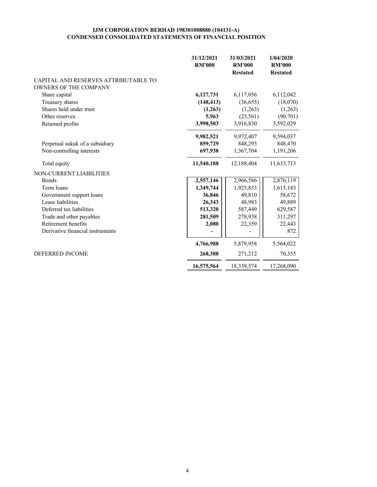#### **IJM CORPORATION BERHAD 198301008880 (104131-A) CONDENSED CONSOLIDATED STATEMENTS OF FINANCIAL POSITION**

|                                      | 31/12/2021    | 31/03/2021<br><b>RM'000</b> | 1/04/2020<br><b>RM'000</b> |
|--------------------------------------|---------------|-----------------------------|----------------------------|
|                                      | <b>RM'000</b> | <b>Restated</b>             | <b>Restated</b>            |
| CAPITAL AND RESERVES ATTRIBUTABLE TO |               |                             |                            |
| <b>OWNERS OF THE COMPANY</b>         |               |                             |                            |
| Share capital                        | 6,127,731     | 6,117,056                   | 6,112,042                  |
| Treasury shares                      | (148, 413)    | (36,655)                    | (18,070)                   |
| Shares held under trust              | (1,263)       | (1,263)                     | (1,263)                    |
| Other reserves                       | 5,963         | (23, 561)                   | (90, 701)                  |
| Retained profits                     | 3,998,503     | 3,916,830                   | 3,592,029                  |
|                                      | 9,982,521     | 9,972,407                   | 9,594,037                  |
| Perpetual sukuk of a subsidiary      | 859,729       | 848,293                     | 848,470                    |
| Non-controlling interests            | 697,938       | 1,367,704                   | 1,191,206                  |
| Total equity                         | 11,540,188    | 12,188,404                  | 11,633,713                 |
| NON-CURRENT LIABILITIES              |               |                             |                            |
| <b>Bonds</b>                         | 2,557,146     | 2,966,586                   | 2,876,119                  |
| Term loans                           | 1,349,744     | 1,925,833                   | 1,615,143                  |
| Government support loans             | 36,846        | 49,810                      | 58,672                     |
| Lease liabilities                    | 26,343        | 48,983                      | 49,889                     |
| Deferred tax liabilities             | 513,320       | 587,449                     | 629,587                    |
| Trade and other payables             | 281,509       | 278,938                     | 311,297                    |
| Retirement benefits                  | 2,080         | 22,359                      | 22,443                     |
| Derivative financial instruments     |               |                             | 872                        |
|                                      | 4,766,988     | 5,879,958                   | 5,564,022                  |
| <b>DEFERRED INCOME</b>               | 268,388       | 271,212                     | 70,355                     |
|                                      | 16,575,564    | 18,339,574                  | 17,268,090                 |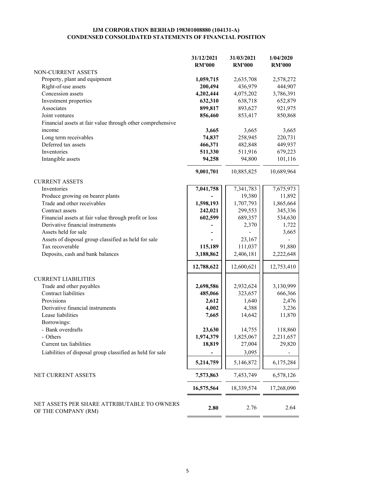#### **IJM CORPORATION BERHAD 198301008880 (104131-A) CONDENSED CONSOLIDATED STATEMENTS OF FINANCIAL POSITION**

|                                                                    | 31/12/2021    | 31/03/2021    | 1/04/2020     |
|--------------------------------------------------------------------|---------------|---------------|---------------|
|                                                                    | <b>RM'000</b> | <b>RM'000</b> | <b>RM'000</b> |
| NON-CURRENT ASSETS                                                 |               |               |               |
| Property, plant and equipment                                      | 1,059,715     | 2,635,708     | 2,578,272     |
| Right-of-use assets                                                | 200,494       | 436,979       | 444,907       |
| Concession assets                                                  | 4,202,444     | 4,075,202     | 3,786,391     |
| Investment properties                                              | 632,310       | 638,718       | 652,879       |
| Associates                                                         | 899,817       | 893,627       | 921,975       |
| Joint ventures                                                     | 856,460       | 853,417       | 850,868       |
| Financial assets at fair value through other comprehensive         |               |               |               |
| income                                                             | 3,665         | 3,665         | 3,665         |
| Long term receivables                                              | 74,837        | 258,945       | 220,731       |
| Deferred tax assets                                                | 466,371       | 482,848       | 449,937       |
| Inventories                                                        | 511,330       | 511,916       | 679,223       |
| Intangible assets                                                  | 94,258        | 94,800        | 101,116       |
|                                                                    | 9,001,701     | 10,885,825    | 10,689,964    |
| <b>CURRENT ASSETS</b>                                              |               |               |               |
| Inventories                                                        | 7,041,758     | 7,341,783     | 7,675,973     |
| Produce growing on bearer plants                                   |               | 19,380        | 11,892        |
| Trade and other receivables                                        | 1,598,193     | 1,707,793     | 1,865,664     |
| Contract assets                                                    | 242,021       | 299,553       | 345,336       |
| Financial assets at fair value through profit or loss              | 602,599       | 689,357       | 534,630       |
| Derivative financial instruments                                   |               | 2,370         | 1,722         |
| Assets held for sale                                               |               |               | 3,665         |
| Assets of disposal group classified as held for sale               |               | 23,167        |               |
| Tax recoverable                                                    | 115,189       | 111,037       | 91,880        |
| Deposits, cash and bank balances                                   | 3,188,862     | 2,406,181     | 2,222,648     |
|                                                                    |               |               |               |
|                                                                    | 12,788,622    | 12,600,621    | 12,753,410    |
| <b>CURRENT LIABILITIES</b>                                         |               |               |               |
| Trade and other payables                                           | 2,698,586     | 2,932,624     | 3,130,999     |
| Contract liabilities                                               | 485,066       | 323,657       | 666,366       |
| Provisions                                                         | 2,612         | 1,640         | 2,476         |
| Derivative financial instruments                                   | 4,002         | 4,388         | 3,236         |
| Lease liabilities                                                  | 7,665         | 14,642        | 11,870        |
| Borrowings:                                                        |               |               |               |
| - Bank overdrafts                                                  | 23,630        | 14,755        | 118,860       |
| - Others                                                           | 1,974,379     | 1,825,067     | 2,211,657     |
| Current tax liabilities                                            | 18,819        | 27,004        | 29,820        |
| Liabilities of disposal group classified as held for sale          |               | 3,095         |               |
|                                                                    | 5,214,759     | 5,146,872     | 6,175,284     |
| NET CURRENT ASSETS                                                 | 7,573,863     | 7,453,749     | 6,578,126     |
|                                                                    | 16,575,564    | 18,339,574    | 17,268,090    |
|                                                                    |               |               |               |
| NET ASSETS PER SHARE ATTRIBUTABLE TO OWNERS<br>OF THE COMPANY (RM) | 2.80          | 2.76          | 2.64          |
|                                                                    |               |               |               |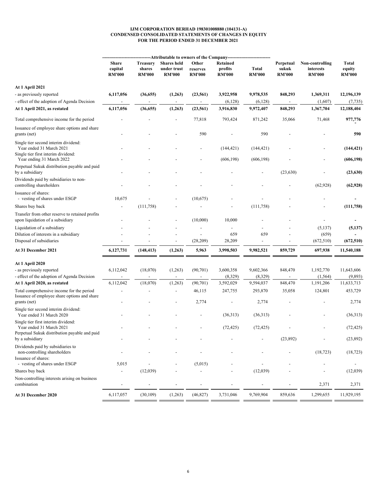#### **IJM CORPORATION BERHAD 198301008880 (104131-A) CONDENSED CONSOLIDATED STATEMENTS OF CHANGES IN EQUITY FOR THE PERIOD ENDED 31 DECEMBER 2021**

|                                                                                                         | Share<br>capital<br><b>RM'000</b> | <b>Treasury</b><br>shares<br><b>RM'000</b> | -Attributable to owners of the Company<br><b>Shares</b> held<br>under trust<br><b>RM'000</b> | Other<br>reserves<br><b>RM'000</b> | Retained<br>profits<br><b>RM'000</b> | Total<br><b>RM'000</b> | Perpetual<br>sukuk<br><b>RM'000</b> | Non-controlling<br>interests<br><b>RM'000</b> | Total<br>equity<br><b>RM'000</b> |
|---------------------------------------------------------------------------------------------------------|-----------------------------------|--------------------------------------------|----------------------------------------------------------------------------------------------|------------------------------------|--------------------------------------|------------------------|-------------------------------------|-----------------------------------------------|----------------------------------|
| <b>At 1 April 2021</b>                                                                                  |                                   |                                            |                                                                                              |                                    |                                      |                        |                                     |                                               |                                  |
| - as previously reported                                                                                | 6,117,056                         | (36, 655)                                  | (1,263)                                                                                      | (23, 561)                          | 3,922,958                            | 9,978,535              | 848,293                             | 1,369,311                                     | 12,196,139                       |
| - effect of the adoption of Agenda Decision                                                             |                                   |                                            | $\overline{\phantom{a}}$                                                                     | $\overline{\phantom{a}}$           | (6,128)                              | (6,128)                |                                     | (1,607)                                       | (7, 735)                         |
| At 1 April 2021, as restated                                                                            | 6,117,056                         | (36, 655)                                  | (1,263)                                                                                      | (23, 561)                          | 3,916,830                            | 9,972,407              | 848,293                             | 1,367,704                                     | 12,188,404                       |
| Total comprehensive income for the period                                                               |                                   |                                            |                                                                                              | 77,818                             | 793,424                              | 871,242                | 35,066                              | 71,468                                        | 977,776                          |
| Issuance of employee share options and share<br>grants (net)                                            |                                   |                                            |                                                                                              | 590                                |                                      | 590                    |                                     |                                               | 590                              |
| Single tier second interim dividend:<br>Year ended 31 March 2021<br>Single tier first interim dividend: |                                   |                                            |                                                                                              |                                    | (144, 421)                           | (144, 421)             |                                     |                                               | (144, 421)                       |
| Year ending 31 March 2022                                                                               |                                   |                                            |                                                                                              |                                    | (606, 198)                           | (606, 198)             |                                     |                                               | (606, 198)                       |
| Perpetual Sukuk distribution payable and paid<br>by a subsidiary                                        |                                   |                                            |                                                                                              |                                    |                                      |                        | (23, 630)                           |                                               | (23, 630)                        |
| Dividends paid by subsidiaries to non-<br>controlling shareholders                                      |                                   |                                            |                                                                                              |                                    |                                      |                        |                                     | (62, 928)                                     | (62, 928)                        |
| Issuance of shares:<br>- vesting of shares under ESGP                                                   | 10,675                            |                                            |                                                                                              | (10,675)                           |                                      |                        |                                     |                                               |                                  |
| Shares buy back                                                                                         |                                   | (111, 758)                                 |                                                                                              |                                    |                                      | (111,758)              |                                     |                                               | (111,758)                        |
| Transfer from other reserve to retained profits<br>upon liquidation of a subsidiary                     |                                   |                                            |                                                                                              | (10,000)                           | 10,000                               |                        |                                     |                                               |                                  |
| Liquidation of a subsidiary                                                                             |                                   |                                            |                                                                                              |                                    |                                      |                        |                                     | (5,137)                                       | (5,137)                          |
| Dilution of interests in a subsidiary                                                                   |                                   |                                            |                                                                                              |                                    | 659                                  | 659                    |                                     | (659)                                         |                                  |
| Disposal of subsidiaries                                                                                |                                   |                                            |                                                                                              | (28,209)                           | 28,209                               |                        |                                     | (672, 510)                                    | (672, 510)                       |
| <b>At 31 December 2021</b>                                                                              | 6,127,731                         | (148, 413)                                 | (1,263)                                                                                      | 5,963                              | 3,998,503                            | 9,982,521              | 859,729                             | 697,938                                       | 11,540,188                       |
|                                                                                                         |                                   |                                            |                                                                                              |                                    |                                      |                        |                                     |                                               |                                  |
| <b>At 1 April 2020</b><br>- as previously reported                                                      | 6,112,042                         | (18,070)                                   | (1,263)                                                                                      | (90, 701)                          | 3,600,358                            | 9,602,366              | 848,470                             | 1,192,770                                     | 11,643,606                       |
| - effect of the adoption of Agenda Decision                                                             |                                   |                                            |                                                                                              |                                    | (8,329)                              | (8, 329)               |                                     | (1, 564)                                      | (9, 893)                         |
| At 1 April 2020, as restated                                                                            | 6,112,042                         | (18,070)                                   | (1,263)                                                                                      | (90, 701)                          | 3,592,029                            | 9,594,037              | 848,470                             | 1,191,206                                     | 11,633,713                       |
| Total comprehensive income for the period                                                               |                                   |                                            |                                                                                              | 46,115                             | 247,755                              | 293,870                | 35,058                              | 124,801                                       | 453,729                          |
| Issuance of employee share options and share<br>grants (net)                                            |                                   |                                            |                                                                                              | 2,774                              |                                      | 2,774                  |                                     |                                               | 2,774                            |
| Single tier second interim dividend:<br>Year ended 31 March 2020                                        |                                   |                                            |                                                                                              |                                    | (36,313)                             | (36,313)               |                                     |                                               | (36,313)                         |
| Single tier first interim dividend:<br>Year ended 31 March 2021                                         |                                   |                                            |                                                                                              |                                    | (72, 425)                            | (72, 425)              |                                     |                                               | (72, 425)                        |
| Perpetual Sukuk distribution payable and paid<br>by a subsidiary                                        |                                   |                                            |                                                                                              |                                    |                                      |                        | (23,892)                            |                                               | (23, 892)                        |
| Dividends paid by subsidiaries to                                                                       |                                   |                                            |                                                                                              |                                    |                                      |                        |                                     |                                               |                                  |
| non-controlling shareholders<br>Issuance of shares:                                                     |                                   |                                            |                                                                                              |                                    |                                      |                        |                                     | (18, 723)                                     | (18, 723)                        |
| - vesting of shares under ESGP                                                                          | 5,015                             |                                            |                                                                                              | (5,015)                            |                                      |                        |                                     | $\overline{a}$                                | $\overline{\phantom{a}}$         |
| Shares buy back                                                                                         |                                   | (12,039)                                   |                                                                                              |                                    |                                      | (12,039)               |                                     |                                               | (12,039)                         |
| Non-controlling interests arising on business<br>combination                                            |                                   |                                            |                                                                                              |                                    |                                      |                        |                                     | 2,371                                         | 2,371                            |
|                                                                                                         |                                   |                                            |                                                                                              |                                    |                                      |                        |                                     |                                               |                                  |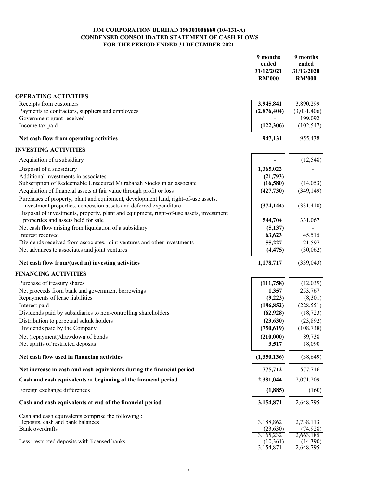#### **IJM CORPORATION BERHAD 198301008880 (104131-A) CONDENSED CONSOLIDATED STATEMENT OF CASH FLOWS FOR THE PERIOD ENDED 31 DECEMBER 2021**

|                                                                                                                                                                                                                                                    | 9 months<br>ended<br>31/12/2021<br><b>RM'000</b> | 9 months<br>ended<br>31/12/2020<br><b>RM'000</b> |
|----------------------------------------------------------------------------------------------------------------------------------------------------------------------------------------------------------------------------------------------------|--------------------------------------------------|--------------------------------------------------|
| <b>OPERATING ACTIVITIES</b>                                                                                                                                                                                                                        |                                                  |                                                  |
| Receipts from customers                                                                                                                                                                                                                            | 3,945,841                                        | 3,890,299                                        |
| Payments to contractors, suppliers and employees                                                                                                                                                                                                   | (2,876,404)                                      | (3,031,406)                                      |
| Government grant received                                                                                                                                                                                                                          |                                                  | 199,092                                          |
| Income tax paid                                                                                                                                                                                                                                    | (122, 306)                                       | (102, 547)                                       |
| Net cash flow from operating activities                                                                                                                                                                                                            | 947,131                                          | 955,438                                          |
| <b>INVESTING ACTIVITIES</b>                                                                                                                                                                                                                        |                                                  |                                                  |
| Acquisition of a subsidiary                                                                                                                                                                                                                        |                                                  | (12, 548)                                        |
| Disposal of a subsidiary                                                                                                                                                                                                                           | 1,365,022                                        |                                                  |
| Additional investments in associates                                                                                                                                                                                                               | (21,793)                                         |                                                  |
| Subscription of Redeemable Unsecured Murabahah Stocks in an associate                                                                                                                                                                              | (16,580)                                         | (14,053)                                         |
| Acquisition of financial assets at fair value through profit or loss                                                                                                                                                                               | (427,730)                                        | (349, 149)                                       |
| Purchases of property, plant and equipment, development land, right-of-use assets,<br>investment properties, concession assets and deferred expenditure<br>Disposal of investments, property, plant and equipment, right-of-use assets, investment | (374, 144)                                       | (331, 410)                                       |
| properties and assets held for sale                                                                                                                                                                                                                | 544,704                                          | 331,067                                          |
| Net cash flow arising from liquidation of a subsidiary                                                                                                                                                                                             | (5,137)                                          |                                                  |
| Interest received                                                                                                                                                                                                                                  | 63,623                                           | 45,515                                           |
| Dividends received from associates, joint ventures and other investments                                                                                                                                                                           | 55,227                                           | 21,597                                           |
| Net advances to associates and joint ventures                                                                                                                                                                                                      | (4, 475)                                         | (30,062)                                         |
| Net cash flow from/(used in) investing activities                                                                                                                                                                                                  | 1,178,717                                        | (339, 043)                                       |
| <b>FINANCING ACTIVITIES</b>                                                                                                                                                                                                                        |                                                  |                                                  |
| Purchase of treasury shares                                                                                                                                                                                                                        | (111,758)                                        | (12,039)                                         |
| Net proceeds from bank and government borrowings                                                                                                                                                                                                   | 1,357                                            | 253,767                                          |
| Repayments of lease liabilities                                                                                                                                                                                                                    | (9,223)                                          | (8,301)                                          |
| Interest paid                                                                                                                                                                                                                                      | (186, 852)                                       | (228, 551)                                       |
| Dividends paid by subsidiaries to non-controlling shareholders                                                                                                                                                                                     | (62, 928)                                        | (18, 723)                                        |
| Distribution to perpetual sukuk holders                                                                                                                                                                                                            | (23, 630)                                        | (23,892)                                         |
| Dividends paid by the Company                                                                                                                                                                                                                      | (750, 619)                                       | (108, 738)                                       |
| Net (repayment)/drawdown of bonds                                                                                                                                                                                                                  | (210,000)                                        | 89,738                                           |
| Net uplifts of restricted deposits                                                                                                                                                                                                                 | 3,517                                            | 18,090                                           |
| Net cash flow used in financing activities                                                                                                                                                                                                         | (1,350,136)                                      | (38, 649)                                        |
| Net increase in cash and cash equivalents during the financial period                                                                                                                                                                              | 775,712                                          | 577,746                                          |
| Cash and cash equivalents at beginning of the financial period                                                                                                                                                                                     | 2,381,044                                        | 2,071,209                                        |
| Foreign exchange differences                                                                                                                                                                                                                       | (1,885)                                          | (160)                                            |
| Cash and cash equivalents at end of the financial period                                                                                                                                                                                           | 3,154,871                                        | 2,648,795                                        |
| Cash and cash equivalents comprise the following :                                                                                                                                                                                                 |                                                  |                                                  |
| Deposits, cash and bank balances                                                                                                                                                                                                                   | 3,188,862                                        | 2,738,113                                        |
| Bank overdrafts                                                                                                                                                                                                                                    | (23, 630)                                        | (74, 928)                                        |
|                                                                                                                                                                                                                                                    | 3,165,232                                        | 2,663,185                                        |
| Less: restricted deposits with licensed banks                                                                                                                                                                                                      | (10, 361)<br>3,154,871                           | (14,390)<br>2,648,795                            |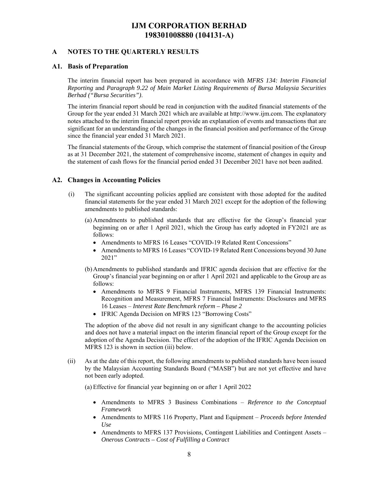#### **A NOTES TO THE QUARTERLY RESULTS**

#### **A1. Basis of Preparation**

The interim financial report has been prepared in accordance with *MFRS 134: Interim Financial Reporting* and *Paragraph 9.22 of Main Market Listing Requirements of Bursa Malaysia Securities Berhad ("Bursa Securities")*.

The interim financial report should be read in conjunction with the audited financial statements of the Group for the year ended 31 March 2021 which are available at http://www.ijm.com. The explanatory notes attached to the interim financial report provide an explanation of events and transactions that are significant for an understanding of the changes in the financial position and performance of the Group since the financial year ended 31 March 2021.

The financial statements of the Group, which comprise the statement of financial position of the Group as at 31 December 2021, the statement of comprehensive income, statement of changes in equity and the statement of cash flows for the financial period ended 31 December 2021 have not been audited.

#### **A2. Changes in Accounting Policies**

- (i) The significant accounting policies applied are consistent with those adopted for the audited financial statements for the year ended 31 March 2021 except for the adoption of the following amendments to published standards:
	- (a) Amendments to published standards that are effective for the Group's financial year beginning on or after 1 April 2021, which the Group has early adopted in FY2021 are as follows:
		- Amendments to MFRS 16 Leases "COVID-19 Related Rent Concessions"
		- Amendments to MFRS 16 Leases "COVID-19 Related Rent Concessions beyond 30 June 2021"
	- (b)Amendments to published standards and IFRIC agenda decision that are effective for the Group's financial year beginning on or after 1 April 2021 and applicable to the Group are as follows:
		- Amendments to MFRS 9 Financial Instruments, MFRS 139 Financial Instruments: Recognition and Measurement, MFRS 7 Financial Instruments: Disclosures and MFRS 16 Leases – *Interest Rate Benchmark reform – Phase 2*
		- IFRIC Agenda Decision on MFRS 123 "Borrowing Costs"

The adoption of the above did not result in any significant change to the accounting policies and does not have a material impact on the interim financial report of the Group except for the adoption of the Agenda Decision. The effect of the adoption of the IFRIC Agenda Decision on MFRS 123 is shown in section (iii) below.

(ii) As at the date of this report, the following amendments to published standards have been issued by the Malaysian Accounting Standards Board ("MASB") but are not yet effective and have not been early adopted.

(a) Effective for financial year beginning on or after 1 April 2022

- Amendments to MFRS 3 Business Combinations *Reference to the Conceptual Framework*
- Amendments to MFRS 116 Property, Plant and Equipment *Proceeds before Intended Use*
- Amendments to MFRS 137 Provisions, Contingent Liabilities and Contingent Assets *Onerous Contracts – Cost of Fulfilling a Contract*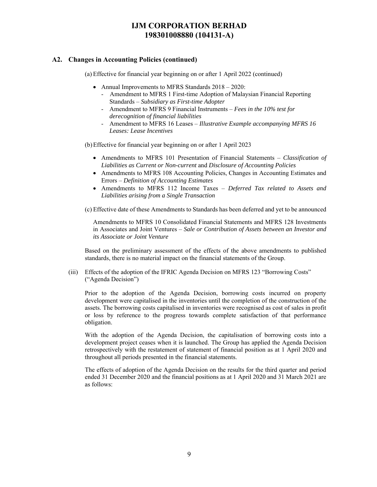### **A2. Changes in Accounting Policies (continued)**

(a) Effective for financial year beginning on or after 1 April 2022 (continued)

- Annual Improvements to MFRS Standards  $2018 2020$ :
	- Amendment to MFRS 1 First-time Adoption of Malaysian Financial Reporting Standards – *Subsidiary as First-time Adopter*
	- Amendment to MFRS 9 Financial Instruments *Fees in the 10% test for derecognition of financial liabilities*
	- Amendment to MFRS 16 Leases *Illustrative Example accompanying MFRS 16 Leases: Lease Incentives*

(b) Effective for financial year beginning on or after 1 April 2023

- Amendments to MFRS 101 Presentation of Financial Statements *Classification of Liabilities as Current or Non-current* and *Disclosure of Accounting Policies*
- Amendments to MFRS 108 Accounting Policies, Changes in Accounting Estimates and Errors – *Definition of Accounting Estimates*
- Amendments to MFRS 112 Income Taxes *Deferred Tax related to Assets and Liabilities arising from a Single Transaction*

(c) Effective date of these Amendments to Standards has been deferred and yet to be announced

Amendments to MFRS 10 Consolidated Financial Statements and MFRS 128 Investments in Associates and Joint Ventures – *Sale or Contribution of Assets between an Investor and its Associate or Joint Venture* 

Based on the preliminary assessment of the effects of the above amendments to published standards, there is no material impact on the financial statements of the Group.

(iii) Effects of the adoption of the IFRIC Agenda Decision on MFRS 123 "Borrowing Costs" ("Agenda Decision")

Prior to the adoption of the Agenda Decision, borrowing costs incurred on property development were capitalised in the inventories until the completion of the construction of the assets. The borrowing costs capitalised in inventories were recognised as cost of sales in profit or loss by reference to the progress towards complete satisfaction of that performance obligation.

With the adoption of the Agenda Decision, the capitalisation of borrowing costs into a development project ceases when it is launched. The Group has applied the Agenda Decision retrospectively with the restatement of statement of financial position as at 1 April 2020 and throughout all periods presented in the financial statements.

The effects of adoption of the Agenda Decision on the results for the third quarter and period ended 31 December 2020 and the financial positions as at 1 April 2020 and 31 March 2021 are as follows: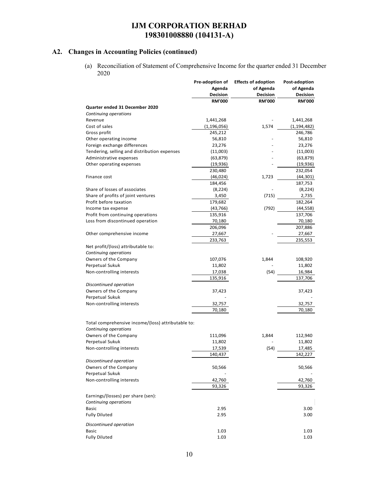# **A2. Changes in Accounting Policies (continued)**

(a) Reconciliation of Statement of Comprehensive Income for the quarter ended 31 December 2020

|                                                    | Pre-adoption of | <b>Effects of adoption</b> | Post-adoption |
|----------------------------------------------------|-----------------|----------------------------|---------------|
|                                                    | Agenda          | of Agenda                  | of Agenda     |
|                                                    | Decision        | Decision                   | Decision      |
|                                                    | <b>RM'000</b>   | <b>RM'000</b>              | <b>RM'000</b> |
| Quarter ended 31 December 2020                     |                 |                            |               |
| Continuing operations                              |                 |                            |               |
| Revenue                                            | 1,441,268       |                            | 1,441,268     |
| Cost of sales                                      | (1, 196, 056)   | 1,574                      | (1, 194, 482) |
| Gross profit                                       | 245,212         |                            | 246,786       |
| Other operating income                             | 56,810          |                            | 56,810        |
| Foreign exchange differences                       | 23,276          |                            | 23,276        |
| Tendering, selling and distribution expenses       | (11,003)        |                            | (11,003)      |
| Administrative expenses                            | (63,879)        |                            | (63, 879)     |
| Other operating expenses                           | (19,936)        |                            | (19, 936)     |
|                                                    | 230,480         |                            | 232,054       |
| Finance cost                                       | (46, 024)       | 1,723                      |               |
|                                                    |                 |                            | (44, 301)     |
|                                                    | 184,456         |                            | 187,753       |
| Share of losses of associates                      | (8, 224)        |                            | (8, 224)      |
| Share of profits of joint ventures                 | 3,450           | (715)                      | 2,735         |
| Profit before taxation                             | 179,682         |                            | 182,264       |
| Income tax expense                                 | (43, 766)       | (792)                      | (44, 558)     |
| Profit from continuing operations                  | 135,916         |                            | 137,706       |
| Loss from discontinued operation                   | 70,180          |                            | 70,180        |
|                                                    | 206,096         |                            | 207,886       |
| Other comprehensive income                         | 27,667          |                            | 27,667        |
|                                                    | 233,763         |                            | 235,553       |
| Net profit/(loss) attributable to:                 |                 |                            |               |
| Continuing operations                              |                 |                            |               |
| Owners of the Company                              | 107,076         | 1,844                      | 108,920       |
| Perpetual Sukuk                                    | 11,802          |                            | 11,802        |
| Non-controlling interests                          | 17,038          | (54)                       | 16,984        |
|                                                    | 135,916         |                            | 137,706       |
| Discontinued operation                             |                 |                            |               |
| Owners of the Company                              | 37,423          |                            | 37,423        |
| Perpetual Sukuk                                    |                 |                            |               |
| Non-controlling interests                          | 32,757          |                            | 32,757        |
|                                                    |                 |                            |               |
|                                                    | 70,180          |                            | 70,180        |
|                                                    |                 |                            |               |
| Total comprehensive income/(loss) attributable to: |                 |                            |               |
| Continuing operations                              |                 |                            |               |
| Owners of the Company                              | 111,096         | 1,844                      | 112,940       |
| Perpetual Sukuk                                    | 11,802          |                            | 11,802        |
| Non-controlling interests                          | 17,539          | (54)                       | 17,485        |
|                                                    | 140,437         |                            | 142,227       |
| Discontinued operation                             |                 |                            |               |
| Owners of the Company                              | 50,566          |                            | 50,566        |
| Perpetual Sukuk                                    |                 |                            |               |
| Non-controlling interests                          | 42,760          |                            | 42,760        |
|                                                    | 93,326          |                            | 93,326        |
|                                                    |                 |                            |               |
| Earnings/(losses) per share (sen):                 |                 |                            |               |
| Continuing operations                              |                 |                            |               |
| Basic                                              | 2.95            |                            | 3.00          |
| <b>Fully Diluted</b>                               | 2.95            |                            | 3.00          |
| Discontinued operation                             |                 |                            |               |
|                                                    |                 |                            |               |
| Basic                                              | 1.03            |                            | 1.03          |
| <b>Fully Diluted</b>                               | 1.03            |                            | 1.03          |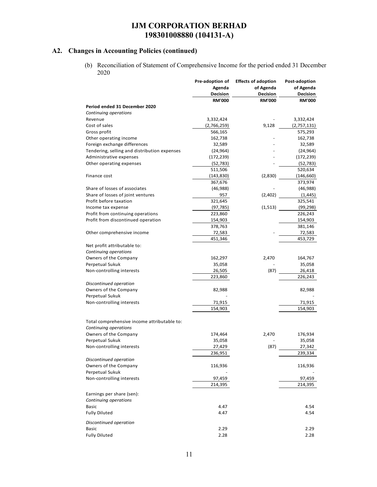### **A2. Changes in Accounting Policies (continued)**

(b) Reconciliation of Statement of Comprehensive Income for the period ended 31 December 2020

|                                              | Pre-adoption of | <b>Effects of adoption</b> | Post-adoption |
|----------------------------------------------|-----------------|----------------------------|---------------|
|                                              | Agenda          | of Agenda                  | of Agenda     |
|                                              | Decision        | Decision                   | Decision      |
|                                              | <b>RM'000</b>   | <b>RM'000</b>              | <b>RM'000</b> |
| Period ended 31 December 2020                |                 |                            |               |
| Continuing operations                        |                 |                            |               |
| Revenue                                      | 3,332,424       |                            | 3,332,424     |
| Cost of sales                                | (2,766,259)     | 9,128                      | (2,757,131)   |
| Gross profit                                 | 566,165         |                            | 575,293       |
| Other operating income                       | 162,738         |                            | 162,738       |
| Foreign exchange differences                 | 32,589          |                            | 32,589        |
| Tendering, selling and distribution expenses | (24, 964)       |                            | (24, 964)     |
| Administrative expenses                      | (172, 239)      |                            | (172, 239)    |
| Other operating expenses                     | (52, 783)       |                            | (52, 783)     |
|                                              | 511,506         |                            | 520,634       |
| Finance cost                                 | (143, 830)      | (2,830)                    | (146, 660)    |
|                                              | 367,676         |                            | 373,974       |
| Share of losses of associates                | (46, 988)       |                            | (46,988)      |
| Share of losses of joint ventures            | 957             | (2,402)                    | (1, 445)      |
| Profit before taxation                       | 321,645         |                            | 325,541       |
| Income tax expense                           | (97, 785)       | (1, 513)                   | (99, 298)     |
| Profit from continuing operations            | 223,860         |                            | 226,243       |
| Profit from discontinued operation           | 154,903         |                            | 154,903       |
|                                              | 378,763         |                            | 381,146       |
| Other comprehensive income                   | 72,583          |                            | 72,583        |
|                                              | 451,346         |                            | 453,729       |
| Net profit attributable to:                  |                 |                            |               |
| Continuing operations                        |                 |                            |               |
| Owners of the Company                        | 162,297         | 2,470                      | 164,767       |
| Perpetual Sukuk                              | 35,058          |                            | 35,058        |
| Non-controlling interests                    | 26,505          | (87)                       | 26,418        |
|                                              | 223,860         |                            | 226,243       |
| Discontinued operation                       |                 |                            |               |
| Owners of the Company                        | 82,988          |                            | 82,988        |
| Perpetual Sukuk                              |                 |                            |               |
| Non-controlling interests                    | 71,915          |                            | 71,915        |
|                                              | 154,903         |                            | 154,903       |
|                                              |                 |                            |               |
| Total comprehensive income attributable to:  |                 |                            |               |
| Continuing operations                        |                 |                            |               |
| Owners of the Company                        | 174,464         | 2,470                      | 176,934       |
| Perpetual Sukuk                              | 35,058          |                            | 35,058        |
| Non-controlling interests                    | 27,429          | (87)                       | 27,342        |
|                                              | 236,951         |                            | 239,334       |
| Discontinued operation                       |                 |                            |               |
| Owners of the Company                        | 116,936         |                            | 116,936       |
| Perpetual Sukuk                              |                 |                            |               |
| Non-controlling interests                    | 97,459          |                            | 97,459        |
|                                              | 214,395         |                            | 214,395       |
|                                              |                 |                            |               |
| Earnings per share (sen):                    |                 |                            |               |
| Continuing operations                        |                 |                            |               |
| <b>Basic</b>                                 | 4.47            |                            | 4.54          |
| <b>Fully Diluted</b>                         | 4.47            |                            | 4.54          |
| Discontinued operation                       |                 |                            |               |
| <b>Basic</b>                                 | 2.29            |                            | 2.29          |
| <b>Fully Diluted</b>                         | 2.28            |                            | 2.28          |
|                                              |                 |                            |               |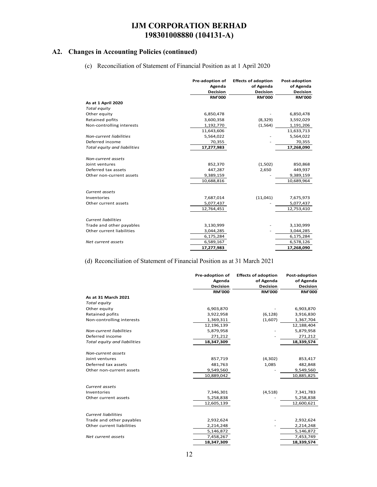### **A2. Changes in Accounting Policies (continued)**

(c) Reconciliation of Statement of Financial Position as at 1 April 2020

|                              | Pre-adoption of<br>Agenda<br><b>Decision</b> | <b>Effects of adoption</b><br>of Agenda<br><b>Decision</b> | Post-adoption<br>of Agenda<br>Decision |
|------------------------------|----------------------------------------------|------------------------------------------------------------|----------------------------------------|
|                              | <b>RM'000</b>                                | <b>RM'000</b>                                              | <b>RM'000</b>                          |
| As at 1 April 2020           |                                              |                                                            |                                        |
| Total equity                 |                                              |                                                            |                                        |
| Other equity                 | 6,850,478                                    |                                                            | 6,850,478                              |
| Retained pofits              | 3,600,358                                    | (8, 329)                                                   | 3,592,029                              |
| Non-controlling interests    | 1,192,770                                    | (1, 564)                                                   | 1,191,206                              |
|                              | 11,643,606                                   |                                                            | 11,633,713                             |
| Non-current liabilities      | 5,564,022                                    |                                                            | 5,564,022                              |
| Deferred income              | 70,355                                       |                                                            | 70,355                                 |
| Total equity and liabilities | 17,277,983                                   |                                                            | 17,268,090                             |
|                              |                                              |                                                            |                                        |
| Non-current assets           |                                              |                                                            |                                        |
| Joint ventures               | 852,370                                      | (1,502)                                                    | 850,868                                |
| Deferred tax assets          | 447,287                                      | 2,650                                                      | 449,937                                |
| Other non-current assets     | 9,389,159                                    |                                                            | 9,389,159                              |
|                              | 10,688,816                                   |                                                            | 10,689,964                             |
| Current assets               |                                              |                                                            |                                        |
| Inventories                  | 7,687,014                                    | (11, 041)                                                  | 7,675,973                              |
| Other current assets         | 5,077,437                                    |                                                            | 5,077,437                              |
|                              | 12,764,451                                   |                                                            | 12,753,410                             |
| <b>Current liabilities</b>   |                                              |                                                            |                                        |
| Trade and other payables     | 3,130,999                                    |                                                            | 3,130,999                              |
| Other current liabilities    | 3,044,285                                    |                                                            | 3,044,285                              |
|                              | 6,175,284                                    |                                                            | 6,175,284                              |
| Net current assets           | 6,589,167                                    |                                                            | 6,578,126                              |
|                              | 17,277,983                                   |                                                            | 17,268,090                             |

(d) Reconciliation of Statement of Financial Position as at 31 March 2021

|                              | Pre-adoption of | <b>Effects of adoption</b> | Post-adoption   |
|------------------------------|-----------------|----------------------------|-----------------|
|                              | Agenda          | of Agenda                  | of Agenda       |
|                              | <b>Decision</b> | <b>Decision</b>            | <b>Decision</b> |
|                              | <b>RM'000</b>   | <b>RM'000</b>              | <b>RM'000</b>   |
| As at 31 March 2021          |                 |                            |                 |
| Total equity                 |                 |                            |                 |
| Other equity                 | 6,903,870       |                            | 6,903,870       |
| Retained pofits              | 3,922,958       | (6, 128)                   | 3,916,830       |
| Non-controlling interests    | 1,369,311       | (1,607)                    | 1,367,704       |
|                              | 12,196,139      |                            | 12,188,404      |
| Non-current liabilities      | 5,879,958       |                            | 5,879,958       |
| Deferred income              | 271,212         |                            | 271,212         |
| Total equity and liabilities | 18,347,309      |                            | 18,339,574      |
|                              |                 |                            |                 |
| Non-current assets           |                 |                            |                 |
| Joint ventures               | 857,719         | (4, 302)                   | 853,417         |
| Deferred tax assets          | 481,763         | 1,085                      | 482,848         |
| Other non-current assets     | 9,549,560       |                            | 9,549,560       |
|                              | 10,889,042      |                            | 10,885,825      |
|                              |                 |                            |                 |
| Current assets               |                 |                            |                 |
| Inventories                  | 7,346,301       | (4,518)                    | 7,341,783       |
| Other current assets         | 5,258,838       |                            | 5,258,838       |
|                              | 12,605,139      |                            | 12,600,621      |
|                              |                 |                            |                 |
| <b>Current liabilities</b>   |                 |                            |                 |
| Trade and other payables     | 2,932,624       |                            | 2,932,624       |
| Other current liabilities    | 2,214,248       |                            | 2,214,248       |
|                              | 5,146,872       |                            | 5,146,872       |
| Net current assets           | 7,458,267       |                            | 7,453,749       |
|                              | 18,347,309      |                            | 18,339,574      |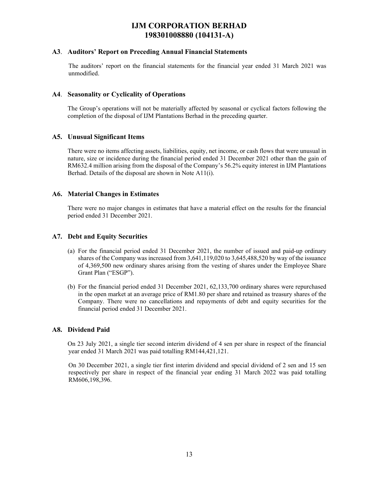#### **A3**. **Auditors' Report on Preceding Annual Financial Statements**

The auditors' report on the financial statements for the financial year ended 31 March 2021 was unmodified.

#### **A4**. **Seasonality or Cyclicality of Operations**

 The Group's operations will not be materially affected by seasonal or cyclical factors following the completion of the disposal of IJM Plantations Berhad in the preceding quarter.

### **A5. Unusual Significant Items**

 There were no items affecting assets, liabilities, equity, net income, or cash flows that were unusual in nature, size or incidence during the financial period ended 31 December 2021 other than the gain of RM632.4 million arising from the disposal of the Company's 56.2% equity interest in IJM Plantations Berhad. Details of the disposal are shown in Note A11(i).

#### **A6. Material Changes in Estimates**

There were no major changes in estimates that have a material effect on the results for the financial period ended 31 December 2021.

#### **A7. Debt and Equity Securities**

- (a) For the financial period ended 31 December 2021, the number of issued and paid-up ordinary shares of the Company was increased from 3,641,119,020 to 3,645,488,520 by way of the issuance of 4,369,500 new ordinary shares arising from the vesting of shares under the Employee Share Grant Plan ("ESGP").
- (b) For the financial period ended 31 December 2021, 62,133,700 ordinary shares were repurchased in the open market at an average price of RM1.80 per share and retained as treasury shares of the Company. There were no cancellations and repayments of debt and equity securities for the financial period ended 31 December 2021.

#### **A8. Dividend Paid**

On 23 July 2021, a single tier second interim dividend of 4 sen per share in respect of the financial year ended 31 March 2021 was paid totalling RM144,421,121.

On 30 December 2021, a single tier first interim dividend and special dividend of 2 sen and 15 sen respectively per share in respect of the financial year ending 31 March 2022 was paid totalling RM606,198,396.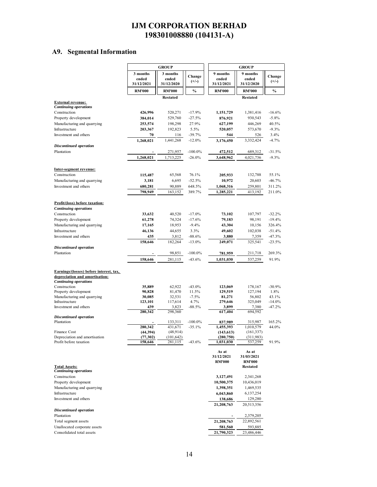# **A9. Segmental Information**

|                                                                | <b>GROUP</b>        |                       |                      | <b>GROUP</b>            |                                  |                      |
|----------------------------------------------------------------|---------------------|-----------------------|----------------------|-------------------------|----------------------------------|----------------------|
|                                                                | 3 months            | 3 months              |                      | 9 months                | 9 months                         |                      |
|                                                                | ended               | ended                 | Change<br>$(+/-)$    | ended                   | ended                            | Change<br>$(+/-)$    |
|                                                                | 31/12/2021          | 31/12/2020            |                      | 31/12/2021              | 31/12/2020                       |                      |
|                                                                | <b>RM'000</b>       | <b>RM'000</b>         | $\frac{0}{0}$        | <b>RM'000</b>           | <b>RM'000</b>                    | $\%$                 |
|                                                                |                     | <b>Restated</b>       |                      |                         | <b>Restated</b>                  |                      |
| <b>External revenue:</b><br><b>Continuing operations</b>       |                     |                       |                      |                         |                                  |                      |
| Construction                                                   | 426,996             | 520,271               | $-17.9%$             | 1,151,729               | 1,381,416                        | $-16.6%$             |
| Property development                                           | 384,014             | 529,760               | $-27.5%$             | 876,921                 | 930,543                          | $-5.8%$              |
| Manufacturing and quarrying                                    | 253,574             | 198,298               | 27.9%                | 627,199                 | 446,269                          | 40.5%                |
| Infrastructure                                                 | 203,367             | 192,823               | 5.5%                 | 520,057                 | 573,670                          | $-9.3%$              |
| Investment and others                                          | 70                  | 116                   | $-39.7%$             | 544                     | 526                              | 3.4%                 |
|                                                                | 1,268,021           | 1,441,268             | $-12.0%$             | 3,176,450               | 3,332,424                        | $-4.7%$              |
| <b>Discontinued operation</b><br>Plantation                    |                     |                       | $-100.0\%$           |                         | 689,312                          | $-31.5%$             |
|                                                                | 1,268,021           | 271,957<br>1,713,225  | $-26.0%$             | 472,512<br>3,648,962    | 4,021,736                        | $-9.3%$              |
|                                                                |                     |                       |                      |                         |                                  |                      |
| Inter-segment revenue:                                         |                     |                       |                      |                         |                                  |                      |
| Construction                                                   | 115,487             | 65,568                | 76.1%                | 205,933                 | 132,788                          | 55.1%                |
| Manufacturing and quarrying                                    | 3,181               | 6,695                 | $-52.5%$             | 10,972                  | 20,603                           | $-46.7%$             |
| Investment and others                                          | 680,281             | 90,889                | 648.5%               | 1,068,316               | 259,801                          | 311.2%               |
|                                                                | 798,949             | 163,152               | 389.7%               | 1,285,221               | 413,192                          | 211.0%               |
|                                                                |                     |                       |                      |                         |                                  |                      |
| <b>Profit/(loss)</b> before taxation:                          |                     |                       |                      |                         |                                  |                      |
| <b>Continuing operations</b>                                   |                     |                       |                      |                         |                                  |                      |
| Construction<br>Property development                           | 33,632<br>61,278    | 40,520<br>74,324      | $-17.0%$<br>$-17.6%$ | 73,102<br>79,183        | 107,797<br>98,191                | $-32.2%$<br>$-19.4%$ |
| Manufacturing and quarrying                                    | 17,165              | 18,953                | $-9.4%$              | 43,304                  | 10,156                           | 326.4%               |
| Infrastructure                                                 | 46,136              | 44,655                | 3.3%                 | 49,602                  | 102,038                          | $-51.4%$             |
| Investment and others                                          | 435                 | 3,812                 | $-88.6%$             | 3,880                   | 7,359                            | $-47.3%$             |
|                                                                | 158,646             | 182,264               | $-13.0%$             | 249,071                 | 325,541                          | $-23.5%$             |
| <b>Discontinued operation</b>                                  |                     |                       |                      |                         |                                  |                      |
| Plantation                                                     |                     | 98,851                | $-100.0\%$           | 781,959                 | 211,718                          | 269.3%               |
|                                                                | 158,646             | 281,115               | $-43.6%$             | 1,031,030               | 537,259                          | 91.9%                |
|                                                                |                     |                       |                      |                         |                                  |                      |
| Earnings/(losses) before interest, tax,                        |                     |                       |                      |                         |                                  |                      |
| depreciation and amortisation:<br><b>Continuing operations</b> |                     |                       |                      |                         |                                  |                      |
| Construction                                                   | 35,889              | 62,922                | $-43.0%$             | 123,069                 | 178,167                          | $-30.9%$             |
| Property development                                           | 90,828              | 81,470                | 11.5%                | 129,519                 | 127,194                          | 1.8%                 |
| Manufacturing and quarrying                                    | 30,085              | 32,531                | $-7.5%$              | 81,271                  | 56,802                           | 43.1%                |
| Infrastructure                                                 | 123,101             | 117,614               | 4.7%                 | 279,646                 | 325,049                          | $-14.0%$             |
| Investment and others                                          | 439                 | 3,823                 | $-88.5%$             | 3,899                   | 7,380<br>694,592                 | $-47.2%$             |
| <b>Discontinued operation</b>                                  | 280,342             | 298,360               |                      | 617,404                 |                                  |                      |
| Plantation                                                     |                     | 133,311               | $-100.0\%$           | 837,989                 | 315,987                          | 165.2%               |
|                                                                | 280.342             | 431,671               | $-35.1%$             | 1,455,393               | 1,010,579                        | 44.0%                |
| Finance Cost                                                   | (44, 394)           | (48, 914)             |                      | (143, 613)              | (161, 337)                       |                      |
| Depreciation and amortisation<br>Profit before taxation        | (77,302)<br>158,646 | (101, 642)<br>281,115 | $-43.6%$             | (280, 750)<br>1,031,030 | (311,983)<br>537,259             | 91.9%                |
|                                                                |                     |                       |                      |                         |                                  |                      |
|                                                                |                     |                       |                      | As at                   | As at                            |                      |
|                                                                |                     |                       |                      | 31/12/2021              | 31/03/2021                       |                      |
| <b>Total Assets:</b>                                           |                     |                       |                      | <b>RM'000</b>           | <b>RM'000</b><br><b>Restated</b> |                      |
| <b>Continuing operations</b>                                   |                     |                       |                      |                         |                                  |                      |
| Construction                                                   |                     |                       |                      | 3,127,491               | 2,341,268                        |                      |
| Property development                                           |                     |                       |                      | 10,500,375              | 10,436,019                       |                      |
| Manufacturing and quarrying                                    |                     |                       |                      | 1,398,351               | 1,469,535                        |                      |
| Infrastructure                                                 |                     |                       |                      | 6,043,860               | 6,137,254                        |                      |
| Investment and others                                          |                     |                       |                      | 138,686                 | 129,280                          |                      |
|                                                                |                     |                       |                      | 21,208,763              | 20,513,356                       |                      |
| <b>Discontinued operation</b><br>Plantation                    |                     |                       |                      |                         | 2,379,205                        |                      |
| Total segment assets                                           |                     |                       |                      | 21,208,763              | 22,892,561                       |                      |
| Unallocated corporate assets                                   |                     |                       |                      | 581,560                 | 593,885                          |                      |
| Consolidated total assets                                      |                     |                       |                      | 21,790,323              | 23,486,446                       |                      |
|                                                                |                     |                       |                      |                         |                                  |                      |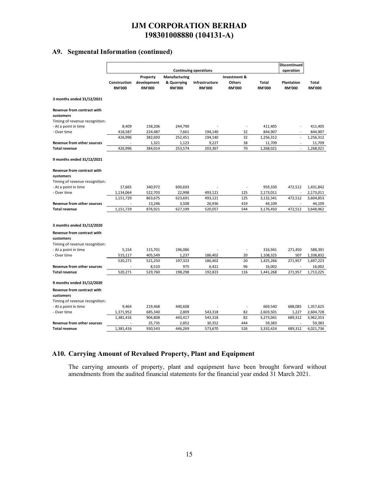### **A9. Segmental Information (continued)**

|                                                                                  | <b>Continuing operations</b>  |                                          |                                               |                                 | Discontinued<br>operation                      |                               |                                    |                               |
|----------------------------------------------------------------------------------|-------------------------------|------------------------------------------|-----------------------------------------------|---------------------------------|------------------------------------------------|-------------------------------|------------------------------------|-------------------------------|
|                                                                                  | Construction<br><b>RM'000</b> | Property<br>development<br><b>RM'000</b> | Manufacturing<br>& Quarrying<br><b>RM'000</b> | Infrastructure<br><b>RM'000</b> | Investment &<br><b>Others</b><br><b>RM'000</b> | <b>Total</b><br><b>RM'000</b> | <b>Plantation</b><br><b>RM'000</b> | <b>Total</b><br><b>RM'000</b> |
| 3 months ended 31/12/2021                                                        |                               |                                          |                                               |                                 |                                                |                               |                                    |                               |
| Revenue from contract with<br>customers<br>Timing of revenue recognition:        |                               |                                          |                                               |                                 |                                                |                               |                                    |                               |
| - At a point in time                                                             | 8,409                         | 158,206                                  | 244,790                                       |                                 | $\overline{\phantom{a}}$                       | 411,405                       |                                    | 411,405                       |
| - Over time                                                                      | 418,587                       | 224,487                                  | 7,661                                         | 194,140                         | 32                                             | 844,907                       |                                    | 844,907                       |
|                                                                                  | 426,996                       | 382,693                                  | 252,451                                       | 194,140                         | 32                                             | 1,256,312                     |                                    | 1,256,312                     |
| Revenue from other sources                                                       |                               | 1,321                                    | 1,123                                         | 9,227                           | 38                                             | 11,709                        | $\overline{a}$                     | 11,709                        |
| <b>Total revenue</b>                                                             | 426,996                       | 384,014                                  | 253,574                                       | 203,367                         | 70                                             | 1,268,021                     | $\overline{a}$                     | 1,268,021                     |
| 9 months ended 31/12/2021                                                        |                               |                                          |                                               |                                 |                                                |                               |                                    |                               |
| <b>Revenue from contract with</b><br>customers                                   |                               |                                          |                                               |                                 |                                                |                               |                                    |                               |
| Timing of revenue recognition:                                                   |                               |                                          |                                               |                                 |                                                |                               |                                    |                               |
| - At a point in time                                                             | 17,665                        | 340,972                                  | 600,693                                       |                                 |                                                | 959,330                       | 472,512                            | 1,431,842                     |
| - Over time                                                                      | 1,134,064                     | 522,703                                  | 22,998                                        | 493,121                         | 125<br>125                                     | 2,173,011                     |                                    | 2,173,011                     |
| <b>Revenue from other sources</b>                                                | 1,151,729                     | 863,675                                  | 623,691                                       | 493,121                         | 419                                            | 3,132,341                     | 472,512                            | 3,604,853                     |
| <b>Total revenue</b>                                                             | 1,151,729                     | 13,246<br>876,921                        | 3,508<br>627,199                              | 26,936<br>520,057               | 544                                            | 44,109<br>3,176,450           | 472,512                            | 44,109<br>3,648,962           |
|                                                                                  |                               |                                          |                                               |                                 |                                                |                               |                                    |                               |
| 3 months ended 31/12/2020                                                        |                               |                                          |                                               |                                 |                                                |                               |                                    |                               |
| <b>Revenue from contract with</b><br>customers                                   |                               |                                          |                                               |                                 |                                                |                               |                                    |                               |
| Timing of revenue recognition:                                                   |                               |                                          |                                               |                                 |                                                |                               |                                    |                               |
| - At a point in time<br>- Over time                                              | 5,154                         | 115,701<br>405,549                       | 196,086                                       | 186,402                         | $\overline{a}$<br>20                           | 316,941                       | 271,450<br>507                     | 588,391                       |
|                                                                                  | 515,117<br>520,271            |                                          | 1,237                                         | 186,402                         | 20                                             | 1,108,325                     | 271,957                            | 1,108,832                     |
| <b>Revenue from other sources</b>                                                |                               | 521,250<br>8,510                         | 197,323<br>975                                | 6,421                           | 96                                             | 1,425,266<br>16,002           |                                    | 1,697,223<br>16,002           |
| <b>Total revenue</b>                                                             | 520,271                       | 529,760                                  | 198,298                                       | 192,823                         | 116                                            | 1,441,268                     | 271,957                            | 1,713,225                     |
| 9 months ended 31/12/2020                                                        |                               |                                          |                                               |                                 |                                                |                               |                                    |                               |
| <b>Revenue from contract with</b><br>customers<br>Timing of revenue recognition: |                               |                                          |                                               |                                 |                                                |                               |                                    |                               |
| - At a point in time                                                             | 9,464                         | 219,468                                  | 440,608                                       |                                 | ÷,                                             | 669,540                       | 688,085                            | 1,357,625                     |
| - Over time                                                                      | 1,371,952                     | 685,340                                  | 2,809                                         | 543,318                         | 82                                             | 2,603,501                     | 1,227                              | 2,604,728                     |
|                                                                                  | 1,381,416                     | 904,808                                  | 443,417                                       | 543,318                         | 82                                             | 3,273,041                     | 689,312                            | 3,962,353                     |
| <b>Revenue from other sources</b>                                                |                               | 25,735                                   | 2,852                                         | 30,352                          | 444                                            | 59,383                        |                                    | 59,383                        |
| <b>Total revenue</b>                                                             | 1,381,416                     | 930,543                                  | 446,269                                       | 573,670                         | 526                                            | 3,332,424                     | 689,312                            | 4,021,736                     |
|                                                                                  |                               |                                          |                                               |                                 |                                                |                               |                                    |                               |

### **A10. Carrying Amount of Revalued Property, Plant and Equipment**

The carrying amounts of property, plant and equipment have been brought forward without amendments from the audited financial statements for the financial year ended 31 March 2021.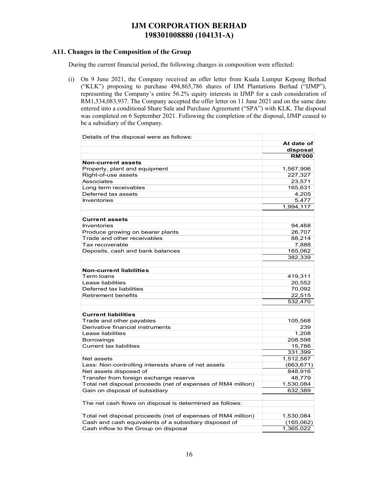### **A11. Changes in the Composition of the Group**

During the current financial period, the following changes in composition were effected:

(i) On 9 June 2021, the Company received an offer letter from Kuala Lumpur Kepong Berhad ("KLK") proposing to purchase 494,865,786 shares of IJM Plantations Berhad ("IJMP"), representing the Company's entire 56.2% equity interests in IJMP for a cash consideration of RM1,534,083,937. The Company accepted the offer letter on 11 June 2021 and on the same date entered into a conditional Share Sale and Purchase Agreement ("SPA") with KLK. The disposal was completed on 6 September 2021. Following the completion of the disposal, IJMP ceased to be a subsidiary of the Company.

| Details of the disposal were as follows:                     |               |
|--------------------------------------------------------------|---------------|
|                                                              | At date of    |
|                                                              | disposal      |
|                                                              | <b>RM'000</b> |
| Non-current assets                                           |               |
| Property, plant and equipment                                | 1,567,906     |
| Right-of-use assets                                          | 227,327       |
| Associates                                                   | 23,571        |
| Long term receivables                                        | 165,631       |
| Deferred tax assets                                          | 4,205         |
| Inventories                                                  | 5,477         |
|                                                              | 1,994,117     |
| <b>Current assets</b>                                        |               |
| <b>Inventories</b>                                           |               |
| Produce growing on bearer plants                             | 94,468        |
| Trade and other receivables                                  | 26,707        |
| Tax recoverable                                              | 88,214        |
|                                                              | 7,888         |
| Deposits, cash and bank balances                             | 165,062       |
|                                                              | 382,339       |
| <b>Non-current liabilities</b>                               |               |
| Term loans                                                   | 419,311       |
| Lease liabilities                                            | 20,552        |
| Deferred tax liabilities                                     | 70.092        |
| <b>Retirement benefits</b>                                   | 22,515        |
|                                                              | 532,470       |
| <b>Current liabilities</b>                                   |               |
| Trade and other payables                                     | 105,568       |
| Derivative financial instruments                             | 239           |
| Lease liabilities                                            | 1,208         |
| Borrowings                                                   | 208,598       |
| <b>Current tax liabilities</b>                               | 15,786        |
|                                                              | 331,399       |
| Net assets                                                   | 1,512,587     |
| Less: Non-controlling interests share of net assets          | (663, 671)    |
| Net assets disposed of                                       | 848,916       |
| Transfer from foreign exchange reserve                       | 48,779        |
| Total net disposal proceeds (net of expenses of RM4 million) | 1,530,084     |
| Gain on disposal of subsidiary                               | 632,389       |
|                                                              |               |
| The net cash flows on disposal is determined as follows:     |               |
| Total net disposal proceeds (net of expenses of RM4 million) | 1,530,084     |
| Cash and cash equivalents of a subsidiary disposed of        | (165,062)     |
| Cash inflow to the Group on disposal                         | 1,365,022     |
|                                                              |               |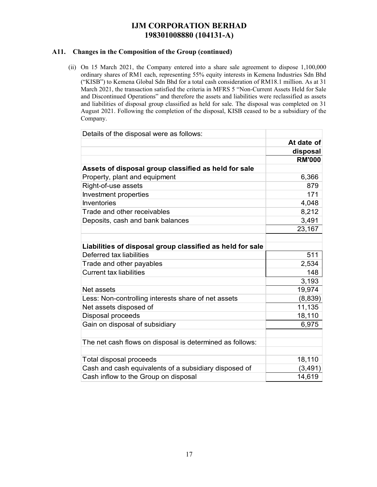### **A11. Changes in the Composition of the Group (continued)**

(ii) On 15 March 2021, the Company entered into a share sale agreement to dispose 1,100,000 ordinary shares of RM1 each, representing 55% equity interests in Kemena Industries Sdn Bhd ("KISB") to Kemena Global Sdn Bhd for a total cash consideration of RM18.1 million. As at 31 March 2021, the transaction satisfied the criteria in MFRS 5 "Non-Current Assets Held for Sale and Discontinued Operations" and therefore the assets and liabilities were reclassified as assets and liabilities of disposal group classified as held for sale. The disposal was completed on 31 August 2021. Following the completion of the disposal, KISB ceased to be a subsidiary of the Company.

| Details of the disposal were as follows:                  |               |
|-----------------------------------------------------------|---------------|
|                                                           | At date of    |
|                                                           | disposal      |
|                                                           | <b>RM'000</b> |
| Assets of disposal group classified as held for sale      |               |
| Property, plant and equipment                             | 6,366         |
| Right-of-use assets                                       | 879           |
| Investment properties                                     | 171           |
| <b>Inventories</b>                                        | 4,048         |
| Trade and other receivables                               | 8,212         |
| Deposits, cash and bank balances                          | 3,491         |
|                                                           | 23,167        |
|                                                           |               |
| Liabilities of disposal group classified as held for sale |               |
| Deferred tax liabilities                                  | 511           |
| Trade and other payables                                  | 2,534         |
| <b>Current tax liabilities</b>                            | 148           |
|                                                           | 3,193         |
| Net assets                                                | 19,974        |
| Less: Non-controlling interests share of net assets       | (8,839)       |
| Net assets disposed of                                    | 11,135        |
| Disposal proceeds                                         | 18,110        |
| Gain on disposal of subsidiary                            | 6,975         |
|                                                           |               |
| The net cash flows on disposal is determined as follows:  |               |
|                                                           |               |
| Total disposal proceeds                                   | 18,110        |
| Cash and cash equivalents of a subsidiary disposed of     | (3, 491)      |
| Cash inflow to the Group on disposal                      | 14,619        |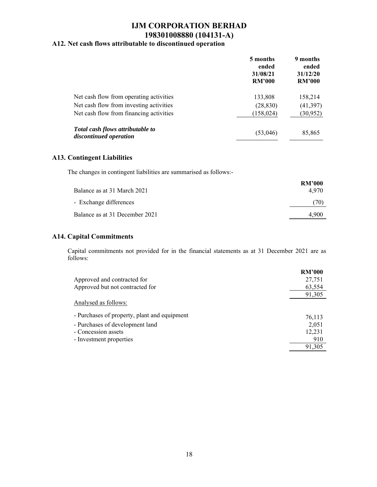### **A12. Net cash flows attributable to discontinued operation**

|                                                            | 5 months<br>ended<br>31/08/21<br><b>RM'000</b> | 9 months<br>ended<br>31/12/20<br><b>RM'000</b> |
|------------------------------------------------------------|------------------------------------------------|------------------------------------------------|
| Net cash flow from operating activities                    | 133,808                                        | 158,214                                        |
| Net cash flow from investing activities                    | (28, 830)                                      | (41, 397)                                      |
| Net cash flow from financing activities                    | (158, 024)                                     | (30, 952)                                      |
| Total cash flows attributable to<br>discontinued operation | (53,046)                                       | 85,865                                         |

### **A13. Contingent Liabilities**

The changes in contingent liabilities are summarised as follows:-

| Balance as at 31 March 2021    | <b>RM'000</b><br>4.970 |
|--------------------------------|------------------------|
| - Exchange differences         | (70)                   |
| Balance as at 31 December 2021 | 4.900                  |

### **A14. Capital Commitments**

Capital commitments not provided for in the financial statements as at 31 December 2021 are as follows:

|                                              | <b>RM'000</b> |
|----------------------------------------------|---------------|
| Approved and contracted for                  | 27,751        |
| Approved but not contracted for              | 63,554        |
|                                              | 91,305        |
| Analysed as follows:                         |               |
| - Purchases of property, plant and equipment | 76,113        |
| - Purchases of development land              | 2,051         |
| - Concession assets                          | 12,231        |
| - Investment properties                      | 910           |
|                                              | 91,305        |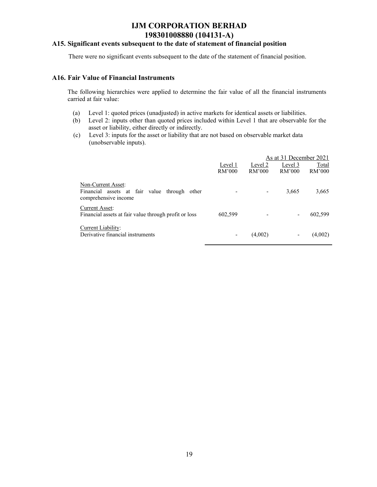### **A15. Significant events subsequent to the date of statement of financial position**

There were no significant events subsequent to the date of the statement of financial position.

#### **A16. Fair Value of Financial Instruments**

The following hierarchies were applied to determine the fair value of all the financial instruments carried at fair value:

- (a) Level 1: quoted prices (unadjusted) in active markets for identical assets or liabilities.
- (b) Level 2: inputs other than quoted prices included within Level 1 that are observable for the asset or liability, either directly or indirectly.
- (c) Level 3: inputs for the asset or liability that are not based on observable market data (unobservable inputs).

|                                                                                            |                          |         | As at 31 December 2021 |         |
|--------------------------------------------------------------------------------------------|--------------------------|---------|------------------------|---------|
|                                                                                            | Level 1                  | Level 2 | Level 3                | Total   |
|                                                                                            | RM'000                   | RM'000  | RM'000                 | RM'000  |
| Non-Current Asset:<br>Financial assets at fair value through other<br>comprehensive income |                          |         | 3,665                  | 3,665   |
| <b>Current Asset:</b><br>Financial assets at fair value through profit or loss             | 602,599                  |         |                        | 602,599 |
| Current Liability:<br>Derivative financial instruments                                     | $\overline{\phantom{0}}$ | (4,002) |                        | (4,002) |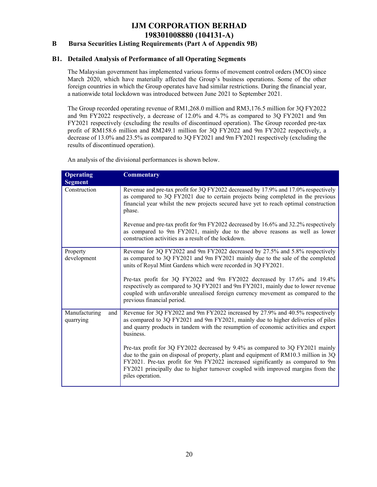### **B Bursa Securities Listing Requirements (Part A of Appendix 9B)**

### **B1. Detailed Analysis of Performance of all Operating Segments**

The Malaysian government has implemented various forms of movement control orders (MCO) since March 2020, which have materially affected the Group's business operations. Some of the other foreign countries in which the Group operates have had similar restrictions. During the financial year, a nationwide total lockdown was introduced between June 2021 to September 2021.

The Group recorded operating revenue of RM1,268.0 million and RM3,176.5 million for 3Q FY2022 and 9m FY2022 respectively, a decrease of 12.0% and 4.7% as compared to 3Q FY2021 and 9m FY2021 respectively (excluding the results of discontinued operation). The Group recorded pre-tax profit of RM158.6 million and RM249.1 million for 3Q FY2022 and 9m FY2022 respectively, a decrease of 13.0% and 23.5% as compared to 3Q FY2021 and 9m FY2021 respectively (excluding the results of discontinued operation).

| <b>Operating</b><br><b>Segment</b> | <b>Commentary</b>                                                                                                                                                                                                                                                                                                                                                |
|------------------------------------|------------------------------------------------------------------------------------------------------------------------------------------------------------------------------------------------------------------------------------------------------------------------------------------------------------------------------------------------------------------|
| Construction                       | Revenue and pre-tax profit for 3Q FY2022 decreased by 17.9% and 17.0% respectively<br>as compared to 3Q FY2021 due to certain projects being completed in the previous<br>financial year whilst the new projects secured have yet to reach optimal construction<br>phase.                                                                                        |
|                                    | Revenue and pre-tax profit for 9m FY2022 decreased by 16.6% and 32.2% respectively<br>as compared to 9m FY2021, mainly due to the above reasons as well as lower<br>construction activities as a result of the lockdown.                                                                                                                                         |
| Property<br>development            | Revenue for 3Q FY2022 and 9m FY2022 decreased by 27.5% and 5.8% respectively<br>as compared to 3Q FY2021 and 9m FY2021 mainly due to the sale of the completed<br>units of Royal Mint Gardens which were recorded in 3Q FY2021.                                                                                                                                  |
|                                    | Pre-tax profit for 3Q FY2022 and 9m FY2022 decreased by 17.6% and 19.4%<br>respectively as compared to 3Q FY2021 and 9m FY2021, mainly due to lower revenue<br>coupled with unfavorable unrealised foreign currency movement as compared to the<br>previous financial period.                                                                                    |
| Manufacturing<br>and<br>quarrying  | Revenue for 3Q FY2022 and 9m FY2022 increased by 27.9% and 40.5% respectively<br>as compared to 3Q FY2021 and 9m FY2021, mainly due to higher deliveries of piles<br>and quarry products in tandem with the resumption of economic activities and export<br>business.                                                                                            |
|                                    | Pre-tax profit for 3Q FY2022 decreased by 9.4% as compared to 3Q FY2021 mainly<br>due to the gain on disposal of property, plant and equipment of RM10.3 million in 3Q<br>FY2021. Pre-tax profit for 9m FY2022 increased significantly as compared to 9m<br>FY2021 principally due to higher turnover coupled with improved margins from the<br>piles operation. |

An analysis of the divisional performances is shown below.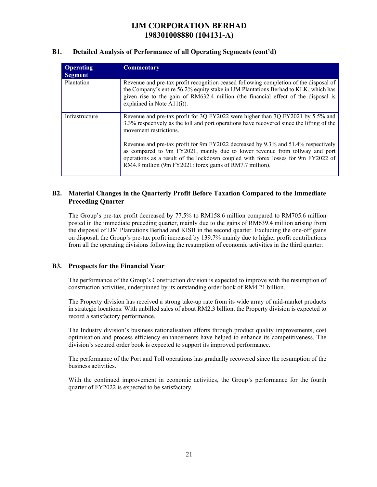### **B1. Detailed Analysis of Performance of all Operating Segments (cont'd)**

| Operating<br><b>Segment</b> | <b>Commentary</b>                                                                                                                                                                                                                                                                                                 |
|-----------------------------|-------------------------------------------------------------------------------------------------------------------------------------------------------------------------------------------------------------------------------------------------------------------------------------------------------------------|
| Plantation                  | Revenue and pre-tax profit recognition ceased following completion of the disposal of<br>the Company's entire 56.2% equity stake in IJM Plantations Berhad to KLK, which has<br>given rise to the gain of RM632.4 million (the financial effect of the disposal is<br>explained in Note $A11(i)$ ).               |
| Infrastructure              | Revenue and pre-tax profit for 3Q FY2022 were higher than 3Q FY2021 by 5.5% and<br>3.3% respectively as the toll and port operations have recovered since the lifting of the<br>movement restrictions.                                                                                                            |
|                             | Revenue and pre-tax profit for 9m FY2022 decreased by 9.3% and 51.4% respectively<br>as compared to 9m FY2021, mainly due to lower revenue from tollway and port<br>operations as a result of the lockdown coupled with forex losses for 9m FY2022 of<br>RM4.9 million (9m FY2021: forex gains of RM7.7 million). |

### **B2. Material Changes in the Quarterly Profit Before Taxation Compared to the Immediate Preceding Quarter**

The Group's pre-tax profit decreased by 77.5% to RM158.6 million compared to RM705.6 million posted in the immediate preceding quarter, mainly due to the gains of RM639.4 million arising from the disposal of IJM Plantations Berhad and KISB in the second quarter. Excluding the one-off gains on disposal, the Group's pre-tax profit increased by 139.7% mainly due to higher profit contributions from all the operating divisions following the resumption of economic activities in the third quarter.

### **B3. Prospects for the Financial Year**

The performance of the Group's Construction division is expected to improve with the resumption of construction activities, underpinned by its outstanding order book of RM4.21 billion.

The Property division has received a strong take-up rate from its wide array of mid-market products in strategic locations. With unbilled sales of about RM2.3 billion, the Property division is expected to record a satisfactory performance.

The Industry division's business rationalisation efforts through product quality improvements, cost optimisation and process efficiency enhancements have helped to enhance its competitiveness. The division's secured order book is expected to support its improved performance.

The performance of the Port and Toll operations has gradually recovered since the resumption of the business activities.

With the continued improvement in economic activities, the Group's performance for the fourth quarter of FY2022 is expected to be satisfactory.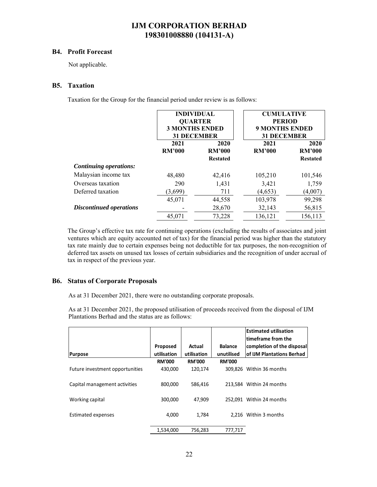#### **B4. Profit Forecast**

Not applicable.

### **B5. Taxation**

Taxation for the Group for the financial period under review is as follows:

|                                | <b>INDIVIDUAL</b><br><b>QUARTER</b><br><b>3 MONTHS ENDED</b><br><b>31 DECEMBER</b> |                                                                   | <b>CUMULATIVE</b><br><b>PERIOD</b><br><b>9 MONTHS ENDED</b><br><b>31 DECEMBER</b> |                                          |  |
|--------------------------------|------------------------------------------------------------------------------------|-------------------------------------------------------------------|-----------------------------------------------------------------------------------|------------------------------------------|--|
|                                | 2021<br><b>RM'000</b>                                                              | 2020<br>2021<br><b>RM'000</b><br><b>RM'000</b><br><b>Restated</b> |                                                                                   | 2020<br><b>RM'000</b><br><b>Restated</b> |  |
| <b>Continuing operations:</b>  |                                                                                    |                                                                   |                                                                                   |                                          |  |
| Malaysian income tax           | 48,480                                                                             | 42,416                                                            | 105,210                                                                           | 101,546                                  |  |
| Overseas taxation              | 290                                                                                | 1,431                                                             | 3,421                                                                             | 1,759                                    |  |
| Deferred taxation              | (3,699)                                                                            | 711                                                               | (4,653)                                                                           | (4,007)                                  |  |
|                                | 45,071                                                                             | 44,558                                                            | 103,978                                                                           | 99,298                                   |  |
| <b>Discontinued operations</b> |                                                                                    | 28,670                                                            | 32,143                                                                            | 56,815                                   |  |
|                                | 45,071                                                                             | 73,228                                                            | 136,121                                                                           | 156,113                                  |  |

The Group's effective tax rate for continuing operations (excluding the results of associates and joint ventures which are equity accounted net of tax) for the financial period was higher than the statutory tax rate mainly due to certain expenses being not deductible for tax purposes, the non-recognition of deferred tax assets on unused tax losses of certain subsidiaries and the recognition of under accrual of tax in respect of the previous year.

### **B6. Status of Corporate Proposals**

As at 31 December 2021, there were no outstanding corporate proposals.

As at 31 December 2021, the proposed utilisation of proceeds received from the disposal of IJM Plantations Berhad and the status are as follows:

|                                 |               |               |                | <b>Estimated utilisation</b><br>ltimeframe from the |
|---------------------------------|---------------|---------------|----------------|-----------------------------------------------------|
|                                 | Proposed      | Actual        | <b>Balance</b> | completion of the disposal                          |
| <b>Purpose</b>                  | utilisation   | utilisation   | unutilised     | of IJM Plantations Berhad                           |
|                                 | <b>RM'000</b> | <b>RM'000</b> | <b>RM'000</b>  |                                                     |
| Future investment opportunities | 430,000       | 120.174       | 309.826        | Within 36 months                                    |
| Capital management activities   | 800,000       | 586,416       |                | 213.584 Within 24 months                            |
| Working capital                 | 300,000       | 47.909        |                | 252.091 Within 24 months                            |
| Estimated expenses              | 4,000         | 1,784         |                | 2.216 Within 3 months                               |
|                                 | 1,534,000     | 756,283       | 777,717        |                                                     |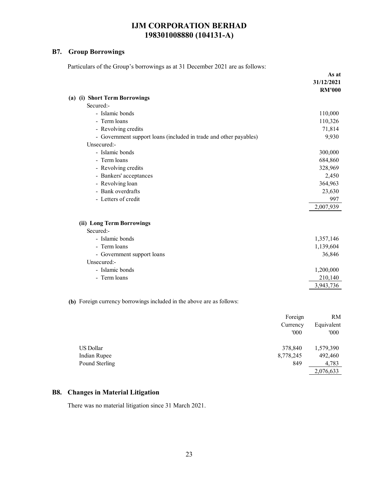### **B7. Group Borrowings**

Particulars of the Group's borrowings as at 31 December 2021 are as follows:

|                                                                       | As at<br>31/12/2021<br><b>RM'000</b>                    |
|-----------------------------------------------------------------------|---------------------------------------------------------|
| (a) (i) Short Term Borrowings                                         |                                                         |
| Secured:-                                                             |                                                         |
| - Islamic bonds                                                       | 110,000                                                 |
| - Term loans                                                          | 110,326                                                 |
| - Revolving credits                                                   | 71,814                                                  |
| - Government support loans (included in trade and other payables)     | 9,930                                                   |
| Unsecured:-                                                           |                                                         |
| - Islamic bonds                                                       | 300,000                                                 |
| - Term loans                                                          | 684,860                                                 |
| - Revolving credits                                                   | 328,969                                                 |
| - Bankers' acceptances                                                | 2,450                                                   |
| - Revolving loan                                                      | 364,963                                                 |
| - Bank overdrafts                                                     | 23,630                                                  |
| - Letters of credit                                                   | 997                                                     |
|                                                                       | 2,007,939                                               |
| (ii) Long Term Borrowings                                             |                                                         |
| Secured:-                                                             |                                                         |
| - Islamic bonds                                                       | 1,357,146                                               |
| - Term loans                                                          | 1,139,604                                               |
| - Government support loans                                            | 36,846                                                  |
| Unsecured:-                                                           |                                                         |
| - Islamic bonds                                                       | 1,200,000                                               |
| - Term loans                                                          | 210,140                                                 |
|                                                                       | 3,943,736                                               |
| (b) Foreign currency borrowings included in the above are as follows: |                                                         |
|                                                                       | Foreign<br>RM<br>$\mathbf{r}$ $\mathbf{r}$ $\mathbf{r}$ |

|                | ~<br>Currency | Equivalent |
|----------------|---------------|------------|
|                | '000          | '000       |
| US Dollar      | 378,840       | 1,579,390  |
| Indian Rupee   | 8,778,245     | 492,460    |
| Pound Sterling | 849           | 4,783      |
|                |               | 2,076,633  |

### **B8. Changes in Material Litigation**

There was no material litigation since 31 March 2021.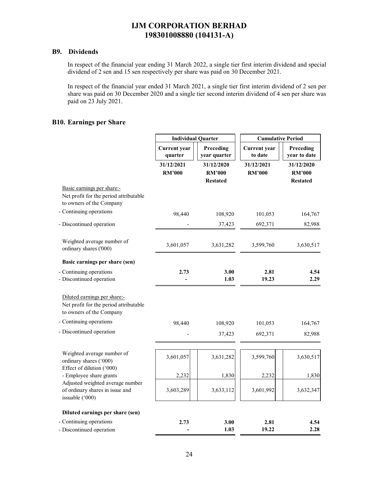### **B9. Dividends**

In respect of the financial year ending 31 March 2022, a single tier first interim dividend and special dividend of 2 sen and 15 sen respectively per share was paid on 30 December 2021.

In respect of the financial year ended 31 March 2021, a single tier first interim dividend of 2 sen per share was paid on 30 December 2020 and a single tier second interim dividend of 4 sen per share was paid on 23 July 2021.

### **B10. Earnings per Share**

|                                                                                                    | <b>Individual Quarter</b>                                   |                                                | <b>Cumulative Period</b>       |                                                |  |
|----------------------------------------------------------------------------------------------------|-------------------------------------------------------------|------------------------------------------------|--------------------------------|------------------------------------------------|--|
|                                                                                                    | Preceding<br><b>Current</b> year<br>year quarter<br>quarter |                                                | <b>Current</b> year<br>to date | Preceding<br>year to date                      |  |
|                                                                                                    | 31/12/2021<br><b>RM'000</b>                                 | 31/12/2020<br><b>RM'000</b><br><b>Restated</b> | 31/12/2021<br><b>RM'000</b>    | 31/12/2020<br><b>RM'000</b><br><b>Restated</b> |  |
| Basic earnings per share:-<br>Net profit for the period attributable<br>to owners of the Company   |                                                             |                                                |                                |                                                |  |
| - Continuing operations                                                                            | 98,440                                                      | 108,920                                        | 101,053                        | 164,767                                        |  |
| - Discontinued operation                                                                           |                                                             | 37,423                                         | 692,371                        | 82,988                                         |  |
| Weighted average number of<br>ordinary shares ('000)                                               | 3,601,057                                                   | 3,631,282                                      | 3,599,760                      | 3,630,517                                      |  |
| Basic earnings per share (sen)                                                                     |                                                             |                                                |                                |                                                |  |
| - Continuing operations<br>- Discontinued operation                                                | 2.73                                                        | 3.00<br>1.03                                   | 2.81<br>19.23                  | 4.54<br>2.29                                   |  |
| Diluted earnings per share:-<br>Net profit for the period attributable<br>to owners of the Company |                                                             |                                                |                                |                                                |  |
| - Continuing operations                                                                            | 98,440                                                      | 108,920                                        | 101,053                        | 164,767                                        |  |
| - Discontinued operation                                                                           |                                                             | 37,423                                         | 692,371                        | 82,988                                         |  |
| Weighted average number of<br>ordinary shares ('000)<br>Effect of dilution ('000)                  | 3,601,057                                                   | 3,631,282                                      | 3,599,760                      | 3,630,517                                      |  |
| - Employee share grants                                                                            | 2,232                                                       | 1,830                                          | 2,232                          | 1,830                                          |  |
| Adjusted weighted average number<br>of ordinary shares in issue and<br>issuable ('000)             | 3,603,289                                                   | 3,633,112                                      | 3,601,992                      | 3,632,347                                      |  |
| Diluted earnings per share (sen)                                                                   |                                                             |                                                |                                |                                                |  |
| - Continuing operations<br>- Discontinued operation                                                | 2.73                                                        | 3.00<br>1.03                                   | 2.81<br>19.22                  | 4.54<br>2.28                                   |  |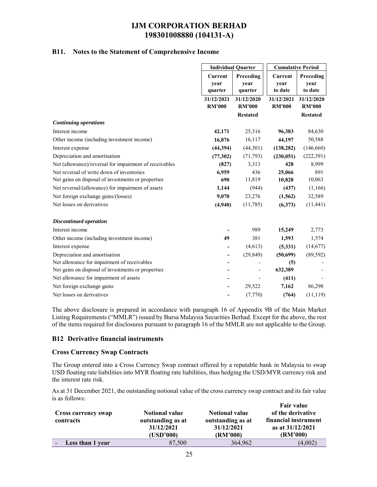### **B11. Notes to the Statement of Comprehensive Income**

|                                                        | <b>Individual Quarter</b>         |                              | <b>Cumulative Period</b>          |                              |
|--------------------------------------------------------|-----------------------------------|------------------------------|-----------------------------------|------------------------------|
|                                                        | <b>Current</b><br>year<br>quarter | Preceding<br>year<br>quarter | <b>Current</b><br>year<br>to date | Preceding<br>year<br>to date |
|                                                        | 31/12/2021<br><b>RM'000</b>       | 31/12/2020<br><b>RM'000</b>  | 31/12/2021<br><b>RM'000</b>       | 31/12/2020<br><b>RM'000</b>  |
|                                                        |                                   | <b>Restated</b>              |                                   | <b>Restated</b>              |
| <b>Continuing operations</b>                           |                                   |                              |                                   |                              |
| Interest income                                        | 42,171                            | 25,316                       | 96,383                            | 84,630                       |
| Other income (including investment income)             | 16,876                            | 16,117                       | 44,197                            | 50,588                       |
| Interest expense                                       | (44, 394)                         | (44,301)                     | (138, 282)                        | (146, 660)                   |
| Depreciation and amortisation                          | (77, 302)                         | (71, 793)                    | (230, 051)                        | (222, 391)                   |
| Net (allowance)/reversal for impairment of receivables | (827)                             | 3,313                        | 428                               | 8,999                        |
| Net reversal of write down of inventories              | 6,959                             | 436                          | 25,066                            | 891                          |
| Net gains on disposal of investments or properties     | 690                               | 11,819                       | 10,828                            | 10,063                       |
| Net reversal/(allowance) for impairment of assets      | 1,144                             | (944)                        | (437)                             | (1,166)                      |
| Net foreign exchange gains/(losses)                    | 9,070                             | 23,276                       | (1, 562)                          | 32,589                       |
| Net losses on derivatives                              | (4,940)                           | (11,785)                     | (6,373)                           | (11, 441)                    |
| <b>Discontinued operation</b>                          |                                   |                              |                                   |                              |
| Interest income                                        |                                   | 989                          | 15,249                            | 2,773                        |
| Other income (including investment income)             | 49                                | 381                          | 1,593                             | 1,574                        |
| Interest expense                                       |                                   | (4,613)                      | (5,331)                           | (14, 677)                    |
| Depreciation and amortisation                          |                                   | (29, 849)                    | (50,699)                          | (89, 592)                    |
| Net allowance for impairment of receivables            |                                   |                              | (5)                               |                              |
| Net gains on disposal of investments or properties     |                                   |                              | 632,389                           |                              |
| Net allowance for impairment of assets                 |                                   |                              | (411)                             |                              |
| Net foreign exchange gains                             |                                   | 29,522                       | 7,162                             | 86,298                       |
| Net losses on derivatives                              |                                   | (7,770)                      | (764)                             | (11, 119)                    |

The above disclosure is prepared in accordance with paragraph 16 of Appendix 9B of the Main Market Listing Requirements ("MMLR") issued by Bursa Malaysia Securities Berhad. Except for the above, the rest of the items required for disclosures pursuant to paragraph 16 of the MMLR are not applicable to the Group.

### **B12 Derivative financial instruments**

#### **Cross Currency Swap Contracts**

The Group entered into a Cross Currency Swap contract offered by a reputable bank in Malaysia to swap USD floating rate liabilities into MYR floating rate liabilities, thus hedging the USD/MYR currency risk and the interest rate risk.

As at 31 December 2021, the outstanding notional value of the cross currency swap contract and its fair value is as follows:

| <b>Cross currency swap</b><br>contracts | <b>Notional value</b><br>outstanding as at<br>31/12/2021<br>(USD'000) | <b>Notional value</b><br>outstanding as at<br>31/12/2021<br>(RM'000) | <b>Fair value</b><br>of the derivative<br>financial instrument<br>as at 31/12/2021<br>(RM'000) |
|-----------------------------------------|-----------------------------------------------------------------------|----------------------------------------------------------------------|------------------------------------------------------------------------------------------------|
| Less than 1 year                        | 87,500                                                                | 364,962                                                              | (4,002)                                                                                        |